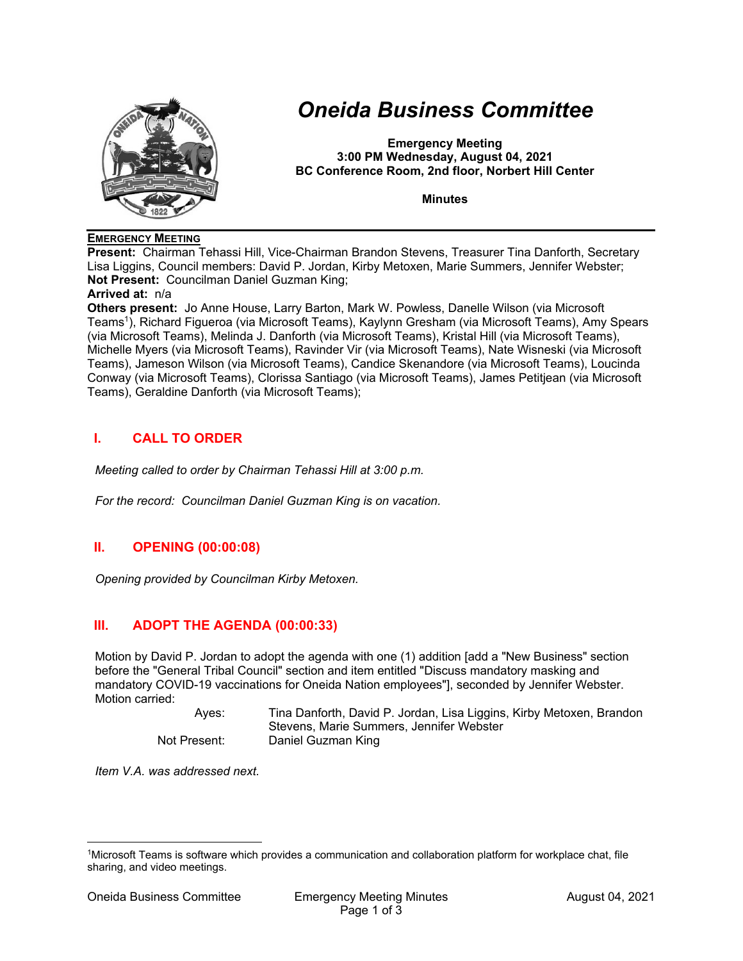

# *Oneida Business Committee*

**Emergency Meeting 3:00 PM Wednesday, August 04, 2021 BC Conference Room, 2nd floor, Norbert Hill Center** 

**Minutes** 

#### **EMERGENCY MEETING**

**Present:** Chairman Tehassi Hill, Vice-Chairman Brandon Stevens, Treasurer Tina Danforth, Secretary Lisa Liggins, Council members: David P. Jordan, Kirby Metoxen, Marie Summers, Jennifer Webster; **Not Present:** Councilman Daniel Guzman King;

#### **Arrived at:** n/a

**Others present:** Jo Anne House, Larry Barton, Mark W. Powless, Danelle Wilson (via Microsoft Teams1), Richard Figueroa (via Microsoft Teams), Kaylynn Gresham (via Microsoft Teams), Amy Spears (via Microsoft Teams), Melinda J. Danforth (via Microsoft Teams), Kristal Hill (via Microsoft Teams), Michelle Myers (via Microsoft Teams), Ravinder Vir (via Microsoft Teams), Nate Wisneski (via Microsoft Teams), Jameson Wilson (via Microsoft Teams), Candice Skenandore (via Microsoft Teams), Loucinda Conway (via Microsoft Teams), Clorissa Santiago (via Microsoft Teams), James Petitjean (via Microsoft Teams), Geraldine Danforth (via Microsoft Teams);

## **I. CALL TO ORDER**

*Meeting called to order by Chairman Tehassi Hill at 3:00 p.m.* 

*For the record: Councilman Daniel Guzman King is on vacation.* 

## **II. OPENING (00:00:08)**

*Opening provided by Councilman Kirby Metoxen.* 

## **III. ADOPT THE AGENDA (00:00:33)**

Motion by David P. Jordan to adopt the agenda with one (1) addition [add a "New Business" section before the "General Tribal Council" section and item entitled "Discuss mandatory masking and mandatory COVID-19 vaccinations for Oneida Nation employees"], seconded by Jennifer Webster. Motion carried:

 Ayes: Tina Danforth, David P. Jordan, Lisa Liggins, Kirby Metoxen, Brandon Stevens, Marie Summers, Jennifer Webster Not Present: Daniel Guzman King

*Item V.A. was addressed next.* 

<sup>1</sup>Microsoft Teams is software which provides a communication and collaboration platform for workplace chat, file sharing, and video meetings.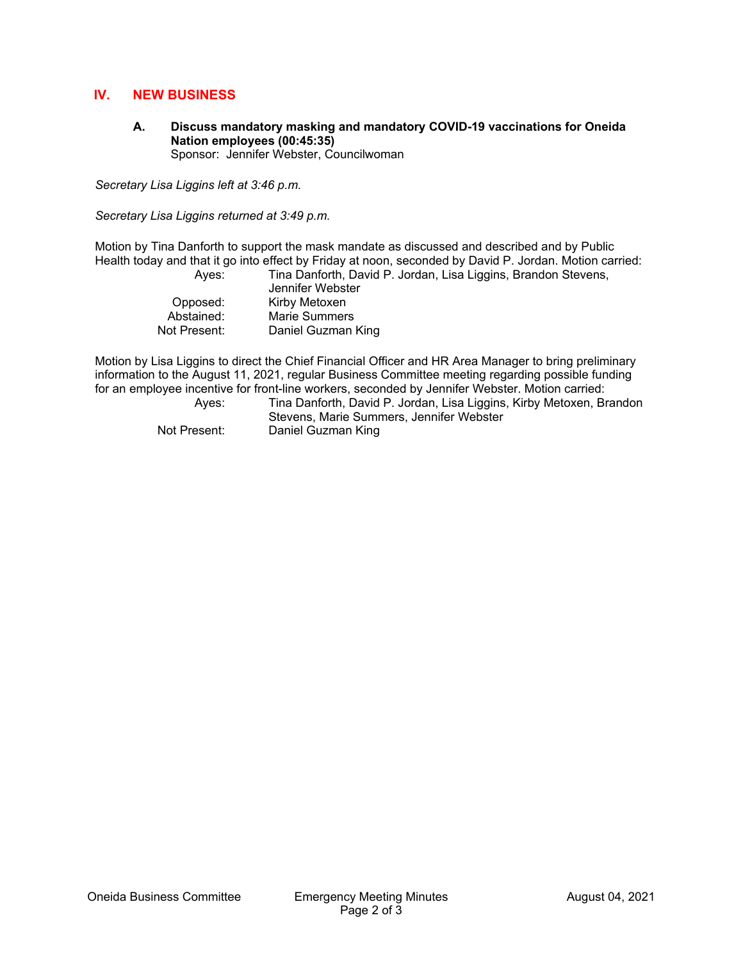#### **IV. NEW BUSINESS**

**A. Discuss mandatory masking and mandatory COVID-19 vaccinations for Oneida Nation employees (00:45:35)**  Sponsor: Jennifer Webster, Councilwoman

*Secretary Lisa Liggins left at 3:46 p.m.* 

*Secretary Lisa Liggins returned at 3:49 p.m.* 

Motion by Tina Danforth to support the mask mandate as discussed and described and by Public Health today and that it go into effect by Friday at noon, seconded by David P. Jordan. Motion carried: Ayes: Tina Danforth, David P. Jordan, Lisa Liggins, Brandon Stevens,

| Ayes.        | Tina Daniorui, David |
|--------------|----------------------|
|              | Jennifer Webster     |
| Opposed:     | Kirby Metoxen        |
| Abstained:   | <b>Marie Summers</b> |
| Not Present: | Daniel Guzman King   |

Motion by Lisa Liggins to direct the Chief Financial Officer and HR Area Manager to bring preliminary information to the August 11, 2021, regular Business Committee meeting regarding possible funding for an employee incentive for front-line workers, seconded by Jennifer Webster. Motion carried:

 Ayes: Tina Danforth, David P. Jordan, Lisa Liggins, Kirby Metoxen, Brandon Stevens, Marie Summers, Jennifer Webster Not Present: Daniel Guzman King